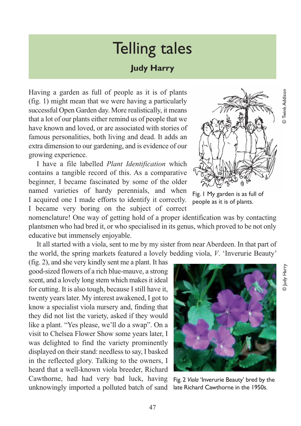© Judy Harry

⊙ Јифу Наггу

## Telling tales

## **Judy Harry**

Having a garden as full of people as it is of plants (fig. 1) might mean that we were having a particularly successful Open Garden day. More realistically, it means that a lot of our plants either remind us of people that we have known and loved, or are associated with stories of famous personalities, both living and dead. It adds an extra dimension to our gardening, and is evidence of our growing experience.

I have a file labelled *Plant Identification* which contains a tangible record of this. As a comparative beginner, I became fascinated by some of the older named varieties of hardy perennials, and when I acquired one I made efforts to identify it correctly. I became very boring on the subject of correct

nomenclature! One way of getting hold of a proper identification was by contacting plantsmen who had bred it, or who specialised in its genus, which proved to be not only educative but immensely enjoyable.

It all started with a viola, sent to me by my sister from near Aberdeen. In that part of the world, the spring markets featured a lovely bedding viola, *V*. 'Inverurie Beauty'

(fig. 2), and she very kindly sent me a plant. It has good-sized flowers of a rich blue-mauve, a strong scent, and a lovely long stem which makes it ideal for cutting. It is also tough, because I still have it, twenty years later. My interest awakened, I got to know a specialist viola nursery and, finding that they did not list the variety, asked if they would like a plant. "Yes please, we'll do a swap". On a visit to Chelsea Flower Show some years later, I was delighted to find the variety prominently displayed on their stand: needless to say, I basked in the reflected glory. Talking to the owners, I heard that a well-known viola breeder, Richard Cawthorne, had had very bad luck, having unknowingly imported a polluted batch of sand

Fig. 1 My garden is as full of people as it is of plants.



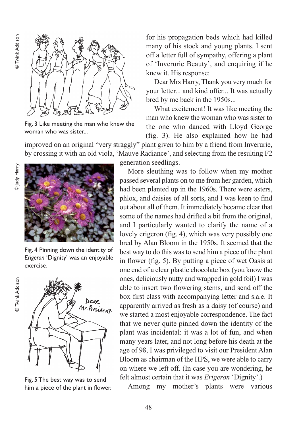

Fig. 3 Like meeting the man who knew the woman who was sister...

for his propagation beds which had killed many of his stock and young plants. I sent off a letter full of sympathy, offering a plant of 'Inverurie Beauty', and enquiring if he knew it. His response:

Dear Mrs Harry, Thank you very much for your letter... and kind offer... It was actually bred by me back in the 1950s...

What excitement! It was like meeting the man who knew the woman who was sister to the one who danced with Lloyd George (fig. 3). He also explained how he had

improved on an original "very straggly" plant given to him by a friend from Inverurie, by crossing it with an old viola, 'Mauve Radiance', and selecting from the resulting F2



© Twink Addison

**D** Twink Addison



Fig. 4 Pinning down the identity of *Erigeron* 'Dignity' was an enjoyable exercise.



Fig. 5 The best way was to send him a piece of the plant in flower.

generation seedlings.

More sleuthing was to follow when my mother passed several plants on to me from her garden, which had been planted up in the 1960s. There were asters, phlox, and daisies of all sorts, and I was keen to find out about all of them. It immediately became clear that some of the names had drifted a bit from the original, and I particularly wanted to clarify the name of a lovely erigeron (fig. 4), which was very possibly one bred by Alan Bloom in the 1950s. It seemed that the best way to do this was to send him a piece of the plant in flower (fig. 5). By putting a piece of wet Oasis at one end of a clear plastic chocolate box (you know the ones, deliciously nutty and wrapped in gold foil) I was able to insert two flowering stems, and send off the box first class with accompanying letter and s.a.e. It apparently arrived as fresh as a daisy (of course) and we started a most enjoyable correspondence. The fact that we never quite pinned down the identity of the plant was incidental: it was a lot of fun, and when many years later, and not long before his death at the age of 98, I was privileged to visit our President Alan Bloom as chairman of the HPS, we were able to carry on where we left off. (In case you are wondering, he felt almost certain that it was *Erigeron* 'Dignity'.)

Among my mother's plants were various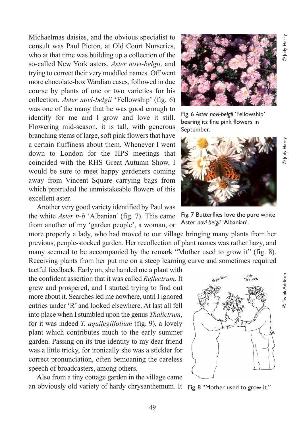Fig. 6 *Aster novi-belgii* 'Fellowship' bearing its fine pink flowers in

y Judy Harry

o Judy Harr



September.

Fig. 7 Butterflies love the pure white Aster *novi-belgii* 'Albanian'.

consult was Paul Picton, at Old Court Nurseries, who at that time was building up a collection of the so-called New York asters, *Aster novi-belgii*, and trying to correct their very muddled names. Off went more chocolate-box Wardian cases, followed in due course by plants of one or two varieties for his collection. *Aster novi-belgii* 'Fellowship' (fig. 6) was one of the many that he was good enough to identify for me and I grow and love it still. Flowering mid-season, it is tall, with generous branching stems of large, soft pink flowers that have a certain fluffiness about them. Whenever I went down to London for the HPS meetings that coincided with the RHS Great Autumn Show, I would be sure to meet happy gardeners coming away from Vincent Square carrying bags from which protruded the unmistakeable flowers of this excellent aster.

Michaelmas daisies, and the obvious specialist to

Another very good variety identified by Paul was the white *Aster n-b* 'Albanian' (fig. 7). This came from another of my 'garden people', a woman, or

more properly a lady, who had moved to our village bringing many plants from her previous, people-stocked garden. Her recollection of plant names was rather hazy, and many seemed to be accompanied by the remark "Mother used to grow it" (fig. 8). Receiving plants from her put me on a steep learning curve and sometimes required

tactful feedback. Early on, she handed me a plant with the confident assertion that it was called *Reflectrum*. It grew and prospered, and I started trying to find out more about it. Searches led me nowhere, until I ignored entries under 'R' and looked elsewhere. At last all fell into place when I stumbled upon the genus *Thalictrum*, for it was indeed *T. aquilegiifolium* (fig. 9), a lovely plant which contributes much to the early summer garden. Passing on its true identity to my dear friend was a little tricky, for ironically she was a stickler for correct pronunciation, often bemoaning the careless speech of broadcasters, among others.

Also from a tiny cottage garden in the village came an obviously old variety of hardy chrysanthemum. It Fig. 8 "Mother used to grow it."

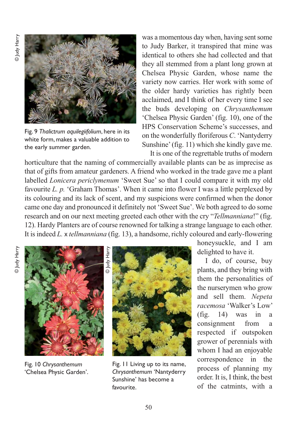

Fig. 9 *Thalictrum aquilegiifolium*, here in its white form, makes a valuable addition to the early summer garden.

was a momentous day when, having sent some to Judy Barker, it transpired that mine was identical to others she had collected and that they all stemmed from a plant long grown at Chelsea Physic Garden, whose name the variety now carries. Her work with some of the older hardy varieties has rightly been acclaimed, and I think of her every time I see the buds developing on *Chrysanthemum* 'Chelsea Physic Garden' (fig. 10), one of the HPS Conservation Scheme's successes, and on the wonderfully floriferous *C*. 'Nantyderry Sunshine' (fig. 11) which she kindly gave me. It is one of the regrettable truths of modern

horticulture that the naming of commercially available plants can be as imprecise as that of gifts from amateur gardeners. A friend who worked in the trade gave me a plant labelled *Lonicera periclymenum* 'Sweet Sue' so that I could compare it with my old favourite *L. p.* 'Graham Thomas'. When it came into flower I was a little perplexed by its colouring and its lack of scent, and my suspicions were confirmed when the donor came one day and pronounced it definitely not 'Sweet Sue'. We both agreed to do some research and on our next meeting greeted each other with the cry "*Tellmanniana*!" (fig. 12). Hardy Planters are of course renowned for talking a strange language to each other. It is indeed *L.* x *tellmanniana* (fig. 13), a handsome, richly coloured and early-flowering



Fig. 10 *Chrysanthemum* 'Chelsea Physic Garden'.



Fig. 11 Living up to its name, *Chrysanthemum* 'Nantyderry Sunshine' has become a favourite.

honeysuckle, and I am delighted to have it.

I do, of course, buy plants, and they bring with them the personalities of the nurserymen who grow and sell them. *Nepeta racemosa* 'Walker's Low' (fig. 14) was in a consignment from a respected if outspoken grower of perennials with whom I had an enjoyable correspondence in the process of planning my order. It is, I think, the best of the catmints, with a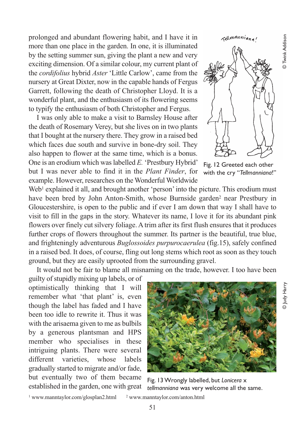**D** Twink Addison © Judy Harry © Twink Addison

o Judy Harr)

prolonged and abundant flowering habit, and I have it in more than one place in the garden. In one, it is illuminated by the setting summer sun, giving the plant a new and very exciting dimension. Of a similar colour, my current plant of the *cordifolius* hybrid *Aster* 'Little Carlow', came from the nursery at Great Dixter, now in the capable hands of Fergus Garrett, following the death of Christopher Lloyd. It is a wonderful plant, and the enthusiasm of its flowering seems to typify the enthusiasm of both Christopher and Fergus.

I was only able to make a visit to Barnsley House after the death of Rosemary Verey, but she lives on in two plants that I bought at the nursery there. They grow in a raised bed which faces due south and survive in bone-dry soil. They also happen to flower at the same time, which is a bonus. One is an erodium which was labelled *E.* 'Prestbury Hybrid' but I was never able to find it in the *Plant Finder*, for example. However, researches on the Wonderful Worldwide



Fig. 12 Greeted each other with the cry "*Tellmanniana*!"

Web<sup>1</sup> explained it all, and brought another 'person' into the picture. This erodium must have been bred by John Anton-Smith, whose Burnside garden<sup>2</sup> near Prestbury in Gloucestershire, is open to the public and if ever I am down that way I shall have to visit to fill in the gaps in the story. Whatever its name, I love it for its abundant pink flowers over finely cut silvery foliage. A trim after its first flush ensures that it produces further crops of flowers throughout the summer. Its partner is the beautiful, true blue, and frighteningly adventurous *Buglossoides purpurocaerulea* (fig.15), safely confined in a raised bed. It does, of course, fling out long stems which root as soon as they touch ground, but they are easily uprooted from the surrounding gravel.

It would not be fair to blame all misnaming on the trade, however. I too have been

guilty of stupidly mixing up labels, or of optimistically thinking that I will remember what 'that plant' is, even though the label has faded and I have been too idle to rewrite it. Thus it was with the arisaema given to me as bulbils by a generous plantsman and HPS member who specialises in these intriguing plants. There were several different varieties, whose labels gradually started to migrate and/or fade, but eventually two of them became established in the garden, one with great



Fig. 13 Wrongly labelled, but *Lonicera* x *tellmanniana* was very welcome all the same.

 $1$  www.manntaylor.com/glosplan2.html  $2$  www.manntaylor.com/anton.html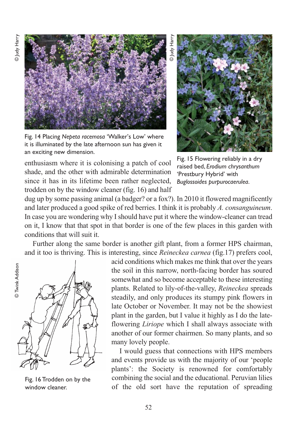o ludy Harry



Fig. 14 Placing *Nepeta racemosa* 'Walker's Low' where it is illuminated by the late afternoon sun has given it an exciting new dimension.

Fig. 15 Flowering reliably in a dry raised bed, *Erodium chrysanthum* 'Prestbury Hybrid' with *Buglossoides purpurocaerulea*.

enthusiasm where it is colonising a patch of cool shade, and the other with admirable determination since it has in its lifetime been rather neglected, trodden on by the window cleaner (fig. 16) and half

dug up by some passing animal (a badger? or a fox?). In 2010 it flowered magnificently and later produced a good spike of red berries. I think it is probably *A. consanguineum*. In case you are wondering why I should have put it where the window-cleaner can tread on it, I know that that spot in that border is one of the few places in this garden with conditions that will suit it.

Further along the same border is another gift plant, from a former HPS chairman, and it too is thriving. This is interesting, since *Reineckea carnea* (fig.17) prefers cool,



Fig. 16 Trodden on by the window cleaner.

acid conditions which makes me think that over the years the soil in this narrow, north-facing border has soured somewhat and so become acceptable to these interesting plants. Related to lily-of-the-valley, *Reineckea* spreads steadily, and only produces its stumpy pink flowers in late October or November. It may not be the showiest plant in the garden, but I value it highly as I do the lateflowering *Liriope* which I shall always associate with another of our former chairmen. So many plants, and so many lovely people.

I would guess that connections with HPS members and events provide us with the majority of our 'people plants': the Society is renowned for comfortably combining the social and the educational. Peruvian lilies of the old sort have the reputation of spreading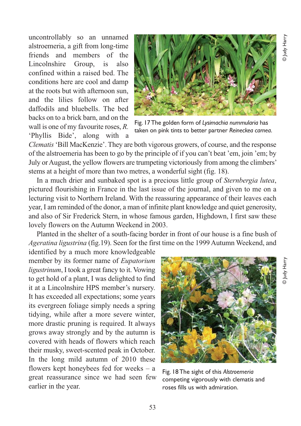uncontrollably so an unnamed alstroemeria, a gift from long-time friends and members of the Lincolnshire Group, is also confined within a raised bed. The conditions here are cool and damp at the roots but with afternoon sun, and the lilies follow on after daffodils and bluebells. The bed backs on to a brick barn, and on the wall is one of my favourite roses, *R.* 'Phyllis Bide', along with a



Fig. 17 The golden form of *Lysimachia nummularia* has taken on pink tints to better partner *Reineckea carnea*.

*Clematis*'Bill MacKenzie'. They are both vigorous growers, of course, and the response of the alstroemeria has been to go by the principle of if you can't beat 'em, join 'em; by July or August, the yellow flowers are trumpeting victoriously from among the climbers' stems at a height of more than two metres, a wonderful sight (fig. 18).

In a much drier and sunbaked spot is a precious little group of *Sternbergia lutea*, pictured flourishing in France in the last issue of the journal, and given to me on a lecturing visit to Northern Ireland. With the reassuring appearance of their leaves each year, I am reminded of the donor, a man of infinite plant knowledge and quiet generosity, and also of Sir Frederick Stern, in whose famous garden, Highdown, I first saw these lovely flowers on the Autumn Weekend in 2003.

Planted in the shelter of a south-facing border in front of our house is a fine bush of *Ageratina ligustrina* (fig.19). Seen for the first time on the 1999 Autumn Weekend, and

identified by a much more knowledgeable member by its former name of *Eupatorium ligustrinum*, I took a great fancy to it. Vowing to get hold of a plant, I was delighted to find it at a Lincolnshire HPS member's nursery. It has exceeded all expectations; some years its evergreen foliage simply needs a spring tidying, while after a more severe winter, more drastic pruning is required. It always grows away strongly and by the autumn is covered with heads of flowers which reach their musky, sweet-scented peak in October. In the long mild autumn of 2010 these flowers kept honeybees fed for weeks – a great reassurance since we had seen few earlier in the year.



Fig. 18 The sight of this *Alstroemeria* competing vigorously with clematis and roses fills us with admiration.